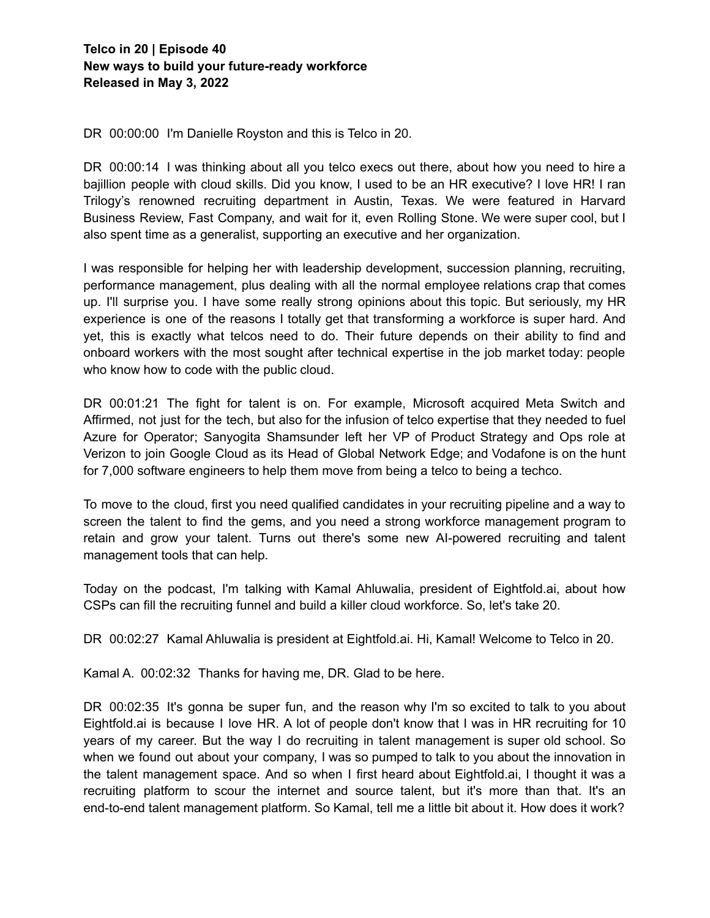DR 00:00:00 I'm Danielle Royston and this is Telco in 20.

DR 00:00:14 I was thinking about all you telco execs out there, about how you need to hire a bajillion people with cloud skills. Did you know, I used to be an HR executive? I love HR! I ran Trilogy's renowned recruiting department in Austin, Texas. We were featured in Harvard Business Review, Fast Company, and wait for it, even Rolling Stone. We were super cool, but I also spent time as a generalist, supporting an executive and her organization.

I was responsible for helping her with leadership development, succession planning, recruiting, performance management, plus dealing with all the normal employee relations crap that comes up. I'll surprise you. I have some really strong opinions about this topic. But seriously, my HR experience is one of the reasons I totally get that transforming a workforce is super hard. And yet, this is exactly what telcos need to do. Their future depends on their ability to find and onboard workers with the most sought after technical expertise in the job market today: people who know how to code with the public cloud.

DR 00:01:21 The fight for talent is on. For example, Microsoft acquired Meta Switch and Affirmed, not just for the tech, but also for the infusion of telco expertise that they needed to fuel Azure for Operator; Sanyogita Shamsunder left her VP of Product Strategy and Ops role at Verizon to join Google Cloud as its Head of Global Network Edge; and Vodafone is on the hunt for 7,000 software engineers to help them move from being a telco to being a techco.

To move to the cloud, first you need qualified candidates in your recruiting pipeline and a way to screen the talent to find the gems, and you need a strong workforce management program to retain and grow your talent. Turns out there's some new AI-powered recruiting and talent management tools that can help.

Today on the podcast, I'm talking with Kamal Ahluwalia, president of Eightfold.ai, about how CSPs can fill the recruiting funnel and build a killer cloud workforce. So, let's take 20.

DR 00:02:27 Kamal Ahluwalia is president at Eightfold.ai. Hi, Kamal! Welcome to Telco in 20.

Kamal A. 00:02:32 Thanks for having me, DR. Glad to be here.

DR 00:02:35 It's gonna be super fun, and the reason why I'm so excited to talk to you about Eightfold.ai is because I love HR. A lot of people don't know that I was in HR recruiting for 10 years of my career. But the way I do recruiting in talent management is super old school. So when we found out about your company, I was so pumped to talk to you about the innovation in the talent management space. And so when I first heard about Eightfold.ai, I thought it was a recruiting platform to scour the internet and source talent, but it's more than that. It's an end-to-end talent management platform. So Kamal, tell me a little bit about it. How does it work?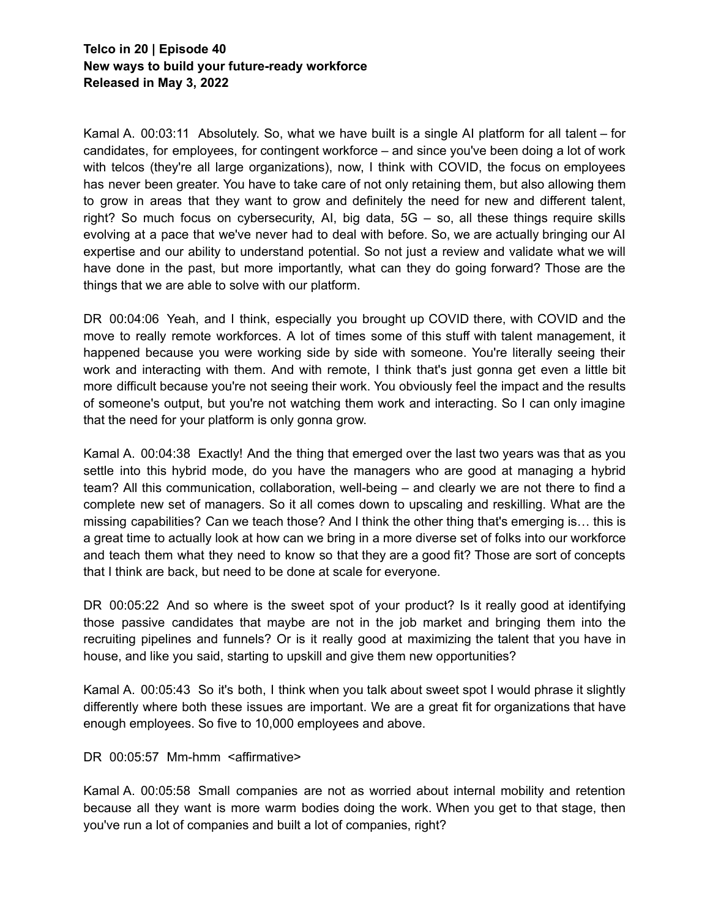Kamal A. 00:03:11 Absolutely. So, what we have built is a single AI platform for all talent – for candidates, for employees, for contingent workforce – and since you've been doing a lot of work with telcos (they're all large organizations), now, I think with COVID, the focus on employees has never been greater. You have to take care of not only retaining them, but also allowing them to grow in areas that they want to grow and definitely the need for new and different talent, right? So much focus on cybersecurity, AI, big data, 5G – so, all these things require skills evolving at a pace that we've never had to deal with before. So, we are actually bringing our AI expertise and our ability to understand potential. So not just a review and validate what we will have done in the past, but more importantly, what can they do going forward? Those are the things that we are able to solve with our platform.

DR 00:04:06 Yeah, and I think, especially you brought up COVID there, with COVID and the move to really remote workforces. A lot of times some of this stuff with talent management, it happened because you were working side by side with someone. You're literally seeing their work and interacting with them. And with remote, I think that's just gonna get even a little bit more difficult because you're not seeing their work. You obviously feel the impact and the results of someone's output, but you're not watching them work and interacting. So I can only imagine that the need for your platform is only gonna grow.

Kamal A. 00:04:38 Exactly! And the thing that emerged over the last two years was that as you settle into this hybrid mode, do you have the managers who are good at managing a hybrid team? All this communication, collaboration, well-being – and clearly we are not there to find a complete new set of managers. So it all comes down to upscaling and reskilling. What are the missing capabilities? Can we teach those? And I think the other thing that's emerging is… this is a great time to actually look at how can we bring in a more diverse set of folks into our workforce and teach them what they need to know so that they are a good fit? Those are sort of concepts that I think are back, but need to be done at scale for everyone.

DR 00:05:22 And so where is the sweet spot of your product? Is it really good at identifying those passive candidates that maybe are not in the job market and bringing them into the recruiting pipelines and funnels? Or is it really good at maximizing the talent that you have in house, and like you said, starting to upskill and give them new opportunities?

Kamal A. 00:05:43 So it's both, I think when you talk about sweet spot I would phrase it slightly differently where both these issues are important. We are a great fit for organizations that have enough employees. So five to 10,000 employees and above.

DR 00:05:57 Mm-hmm <affirmative>

Kamal A. 00:05:58 Small companies are not as worried about internal mobility and retention because all they want is more warm bodies doing the work. When you get to that stage, then you've run a lot of companies and built a lot of companies, right?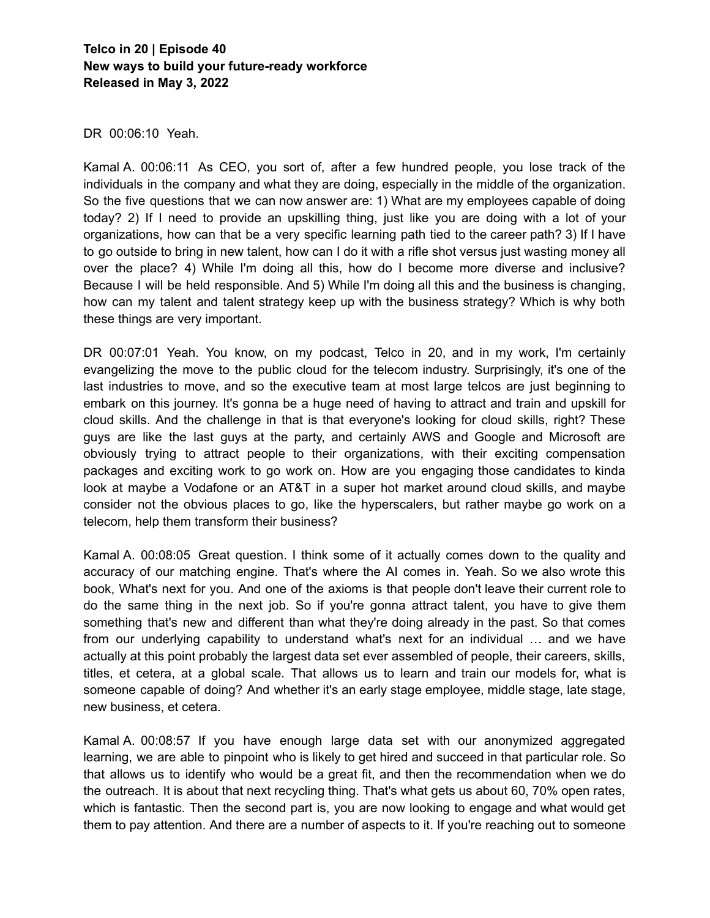DR 00:06:10 Yeah.

Kamal A. 00:06:11 As CEO, you sort of, after a few hundred people, you lose track of the individuals in the company and what they are doing, especially in the middle of the organization. So the five questions that we can now answer are: 1) What are my employees capable of doing today? 2) If I need to provide an upskilling thing, just like you are doing with a lot of your organizations, how can that be a very specific learning path tied to the career path? 3) If I have to go outside to bring in new talent, how can I do it with a rifle shot versus just wasting money all over the place? 4) While I'm doing all this, how do I become more diverse and inclusive? Because I will be held responsible. And 5) While I'm doing all this and the business is changing, how can my talent and talent strategy keep up with the business strategy? Which is why both these things are very important.

DR 00:07:01 Yeah. You know, on my podcast, Telco in 20, and in my work, I'm certainly evangelizing the move to the public cloud for the telecom industry. Surprisingly, it's one of the last industries to move, and so the executive team at most large telcos are just beginning to embark on this journey. It's gonna be a huge need of having to attract and train and upskill for cloud skills. And the challenge in that is that everyone's looking for cloud skills, right? These guys are like the last guys at the party, and certainly AWS and Google and Microsoft are obviously trying to attract people to their organizations, with their exciting compensation packages and exciting work to go work on. How are you engaging those candidates to kinda look at maybe a Vodafone or an AT&T in a super hot market around cloud skills, and maybe consider not the obvious places to go, like the hyperscalers, but rather maybe go work on a telecom, help them transform their business?

Kamal A. 00:08:05 Great question. I think some of it actually comes down to the quality and accuracy of our matching engine. That's where the AI comes in. Yeah. So we also wrote this book, What's next for you. And one of the axioms is that people don't leave their current role to do the same thing in the next job. So if you're gonna attract talent, you have to give them something that's new and different than what they're doing already in the past. So that comes from our underlying capability to understand what's next for an individual … and we have actually at this point probably the largest data set ever assembled of people, their careers, skills, titles, et cetera, at a global scale. That allows us to learn and train our models for, what is someone capable of doing? And whether it's an early stage employee, middle stage, late stage, new business, et cetera.

Kamal A. 00:08:57 If you have enough large data set with our anonymized aggregated learning, we are able to pinpoint who is likely to get hired and succeed in that particular role. So that allows us to identify who would be a great fit, and then the recommendation when we do the outreach. It is about that next recycling thing. That's what gets us about 60, 70% open rates, which is fantastic. Then the second part is, you are now looking to engage and what would get them to pay attention. And there are a number of aspects to it. If you're reaching out to someone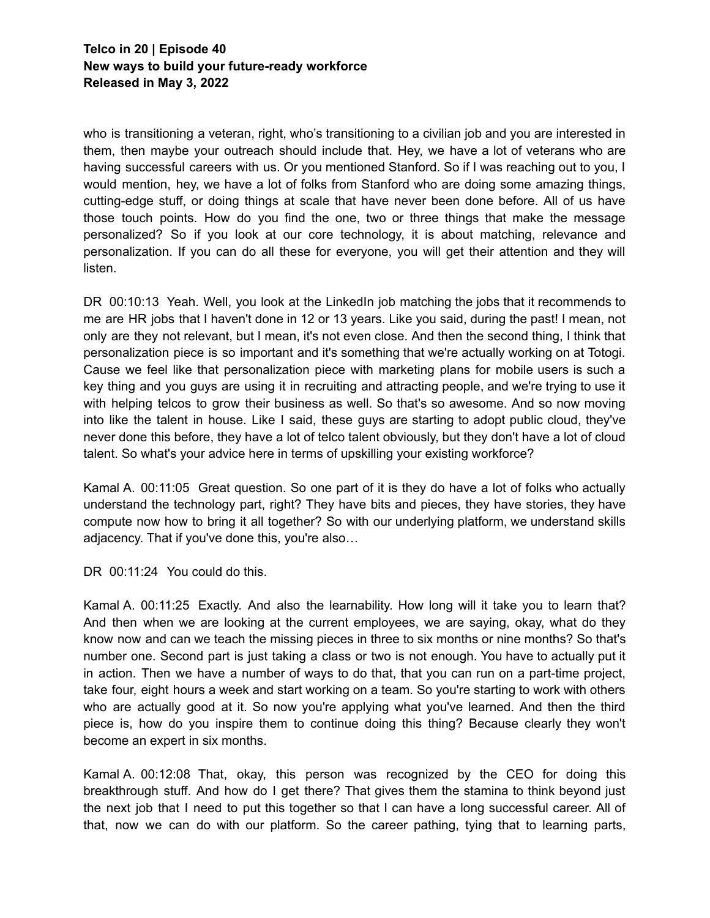who is transitioning a veteran, right, who's transitioning to a civilian job and you are interested in them, then maybe your outreach should include that. Hey, we have a lot of veterans who are having successful careers with us. Or you mentioned Stanford. So if I was reaching out to you, I would mention, hey, we have a lot of folks from Stanford who are doing some amazing things, cutting-edge stuff, or doing things at scale that have never been done before. All of us have those touch points. How do you find the one, two or three things that make the message personalized? So if you look at our core technology, it is about matching, relevance and personalization. If you can do all these for everyone, you will get their attention and they will listen.

DR 00:10:13 Yeah. Well, you look at the LinkedIn job matching the jobs that it recommends to me are HR jobs that I haven't done in 12 or 13 years. Like you said, during the past! I mean, not only are they not relevant, but I mean, it's not even close. And then the second thing, I think that personalization piece is so important and it's something that we're actually working on at Totogi. Cause we feel like that personalization piece with marketing plans for mobile users is such a key thing and you guys are using it in recruiting and attracting people, and we're trying to use it with helping telcos to grow their business as well. So that's so awesome. And so now moving into like the talent in house. Like I said, these guys are starting to adopt public cloud, they've never done this before, they have a lot of telco talent obviously, but they don't have a lot of cloud talent. So what's your advice here in terms of upskilling your existing workforce?

Kamal A. 00:11:05 Great question. So one part of it is they do have a lot of folks who actually understand the technology part, right? They have bits and pieces, they have stories, they have compute now how to bring it all together? So with our underlying platform, we understand skills adjacency. That if you've done this, you're also…

DR 00:11:24 You could do this.

Kamal A. 00:11:25 Exactly. And also the learnability. How long will it take you to learn that? And then when we are looking at the current employees, we are saying, okay, what do they know now and can we teach the missing pieces in three to six months or nine months? So that's number one. Second part is just taking a class or two is not enough. You have to actually put it in action. Then we have a number of ways to do that, that you can run on a part-time project, take four, eight hours a week and start working on a team. So you're starting to work with others who are actually good at it. So now you're applying what you've learned. And then the third piece is, how do you inspire them to continue doing this thing? Because clearly they won't become an expert in six months.

Kamal A. 00:12:08 That, okay, this person was recognized by the CEO for doing this breakthrough stuff. And how do I get there? That gives them the stamina to think beyond just the next job that I need to put this together so that I can have a long successful career. All of that, now we can do with our platform. So the career pathing, tying that to learning parts,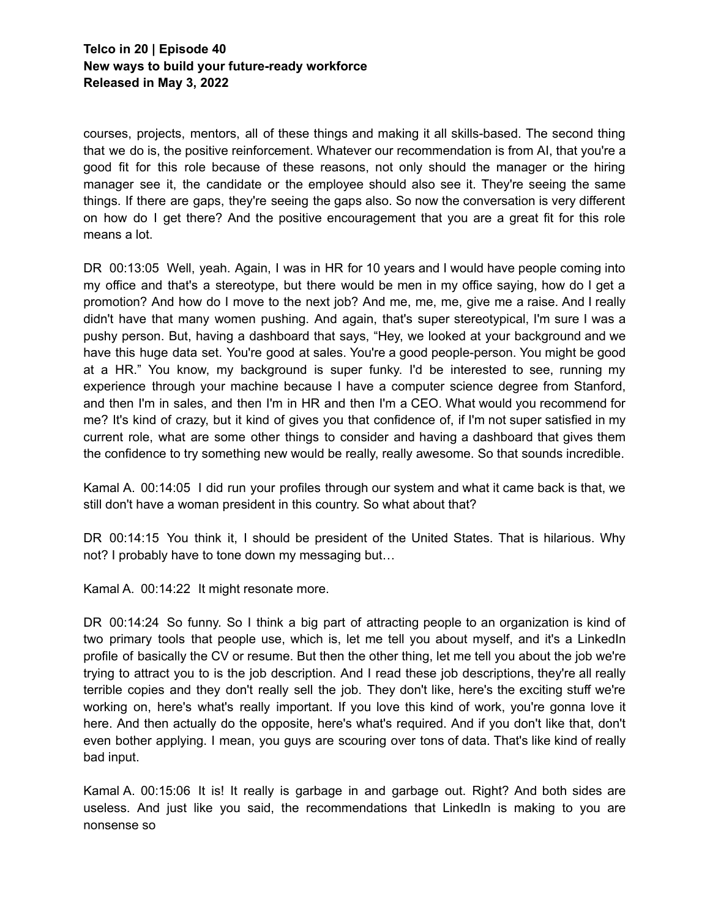courses, projects, mentors, all of these things and making it all skills-based. The second thing that we do is, the positive reinforcement. Whatever our recommendation is from AI, that you're a good fit for this role because of these reasons, not only should the manager or the hiring manager see it, the candidate or the employee should also see it. They're seeing the same things. If there are gaps, they're seeing the gaps also. So now the conversation is very different on how do I get there? And the positive encouragement that you are a great fit for this role means a lot.

DR 00:13:05 Well, yeah. Again, I was in HR for 10 years and I would have people coming into my office and that's a stereotype, but there would be men in my office saying, how do I get a promotion? And how do I move to the next job? And me, me, me, give me a raise. And I really didn't have that many women pushing. And again, that's super stereotypical, I'm sure I was a pushy person. But, having a dashboard that says, "Hey, we looked at your background and we have this huge data set. You're good at sales. You're a good people-person. You might be good at a HR." You know, my background is super funky. I'd be interested to see, running my experience through your machine because I have a computer science degree from Stanford, and then I'm in sales, and then I'm in HR and then I'm a CEO. What would you recommend for me? It's kind of crazy, but it kind of gives you that confidence of, if I'm not super satisfied in my current role, what are some other things to consider and having a dashboard that gives them the confidence to try something new would be really, really awesome. So that sounds incredible.

Kamal A. 00:14:05 I did run your profiles through our system and what it came back is that, we still don't have a woman president in this country. So what about that?

DR 00:14:15 You think it, I should be president of the United States. That is hilarious. Why not? I probably have to tone down my messaging but…

Kamal A. 00:14:22 It might resonate more.

DR 00:14:24 So funny. So I think a big part of attracting people to an organization is kind of two primary tools that people use, which is, let me tell you about myself, and it's a LinkedIn profile of basically the CV or resume. But then the other thing, let me tell you about the job we're trying to attract you to is the job description. And I read these job descriptions, they're all really terrible copies and they don't really sell the job. They don't like, here's the exciting stuff we're working on, here's what's really important. If you love this kind of work, you're gonna love it here. And then actually do the opposite, here's what's required. And if you don't like that, don't even bother applying. I mean, you guys are scouring over tons of data. That's like kind of really bad input.

Kamal A. 00:15:06 It is! It really is garbage in and garbage out. Right? And both sides are useless. And just like you said, the recommendations that LinkedIn is making to you are nonsense so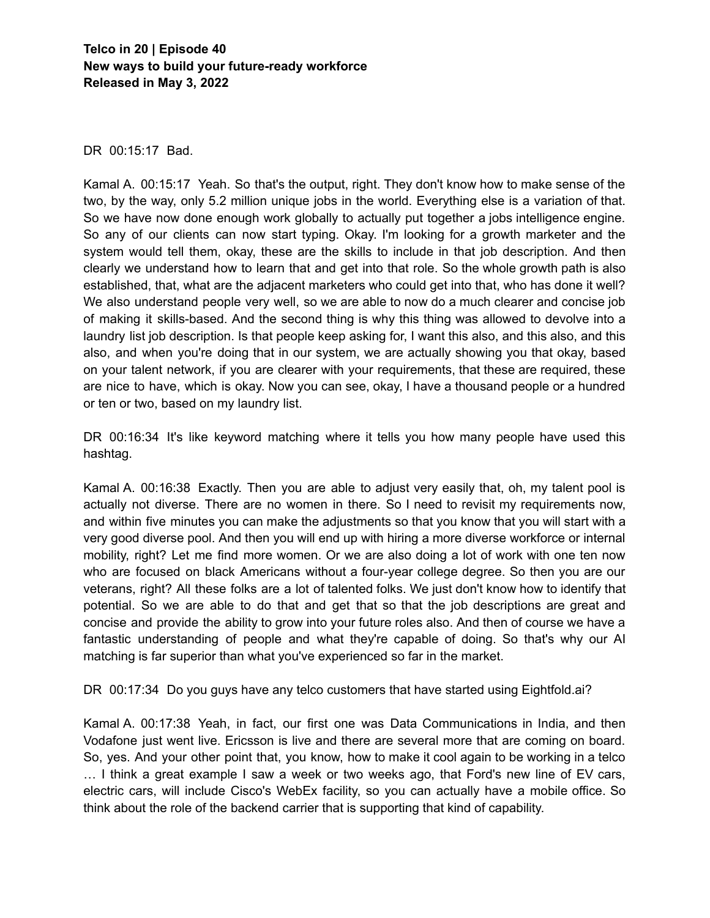DR 00:15:17 Bad.

Kamal A. 00:15:17 Yeah. So that's the output, right. They don't know how to make sense of the two, by the way, only 5.2 million unique jobs in the world. Everything else is a variation of that. So we have now done enough work globally to actually put together a jobs intelligence engine. So any of our clients can now start typing. Okay. I'm looking for a growth marketer and the system would tell them, okay, these are the skills to include in that job description. And then clearly we understand how to learn that and get into that role. So the whole growth path is also established, that, what are the adjacent marketers who could get into that, who has done it well? We also understand people very well, so we are able to now do a much clearer and concise job of making it skills-based. And the second thing is why this thing was allowed to devolve into a laundry list job description. Is that people keep asking for, I want this also, and this also, and this also, and when you're doing that in our system, we are actually showing you that okay, based on your talent network, if you are clearer with your requirements, that these are required, these are nice to have, which is okay. Now you can see, okay, I have a thousand people or a hundred or ten or two, based on my laundry list.

DR 00:16:34 It's like keyword matching where it tells you how many people have used this hashtag.

Kamal A. 00:16:38 Exactly. Then you are able to adjust very easily that, oh, my talent pool is actually not diverse. There are no women in there. So I need to revisit my requirements now, and within five minutes you can make the adjustments so that you know that you will start with a very good diverse pool. And then you will end up with hiring a more diverse workforce or internal mobility, right? Let me find more women. Or we are also doing a lot of work with one ten now who are focused on black Americans without a four-year college degree. So then you are our veterans, right? All these folks are a lot of talented folks. We just don't know how to identify that potential. So we are able to do that and get that so that the job descriptions are great and concise and provide the ability to grow into your future roles also. And then of course we have a fantastic understanding of people and what they're capable of doing. So that's why our AI matching is far superior than what you've experienced so far in the market.

DR 00:17:34 Do you guys have any telco customers that have started using Eightfold.ai?

Kamal A. 00:17:38 Yeah, in fact, our first one was Data Communications in India, and then Vodafone just went live. Ericsson is live and there are several more that are coming on board. So, yes. And your other point that, you know, how to make it cool again to be working in a telco … I think a great example I saw a week or two weeks ago, that Ford's new line of EV cars, electric cars, will include Cisco's WebEx facility, so you can actually have a mobile office. So think about the role of the backend carrier that is supporting that kind of capability.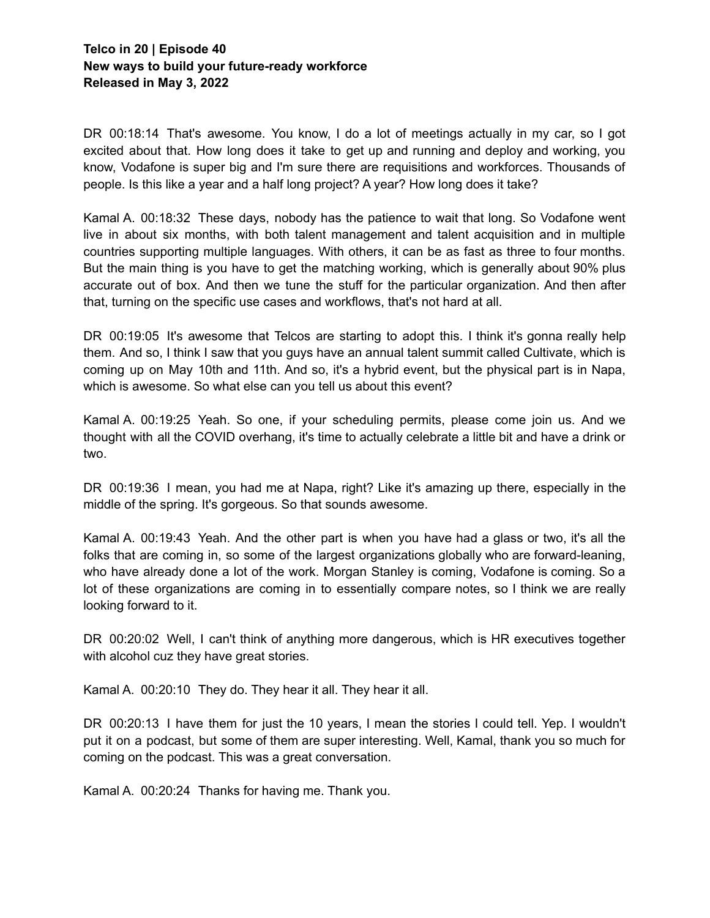DR 00:18:14 That's awesome. You know, I do a lot of meetings actually in my car, so I got excited about that. How long does it take to get up and running and deploy and working, you know, Vodafone is super big and I'm sure there are requisitions and workforces. Thousands of people. Is this like a year and a half long project? A year? How long does it take?

Kamal A. 00:18:32 These days, nobody has the patience to wait that long. So Vodafone went live in about six months, with both talent management and talent acquisition and in multiple countries supporting multiple languages. With others, it can be as fast as three to four months. But the main thing is you have to get the matching working, which is generally about 90% plus accurate out of box. And then we tune the stuff for the particular organization. And then after that, turning on the specific use cases and workflows, that's not hard at all.

DR 00:19:05 It's awesome that Telcos are starting to adopt this. I think it's gonna really help them. And so, I think I saw that you guys have an annual talent summit called Cultivate, which is coming up on May 10th and 11th. And so, it's a hybrid event, but the physical part is in Napa, which is awesome. So what else can you tell us about this event?

Kamal A. 00:19:25 Yeah. So one, if your scheduling permits, please come join us. And we thought with all the COVID overhang, it's time to actually celebrate a little bit and have a drink or two.

DR 00:19:36 I mean, you had me at Napa, right? Like it's amazing up there, especially in the middle of the spring. It's gorgeous. So that sounds awesome.

Kamal A. 00:19:43 Yeah. And the other part is when you have had a glass or two, it's all the folks that are coming in, so some of the largest organizations globally who are forward-leaning, who have already done a lot of the work. Morgan Stanley is coming, Vodafone is coming. So a lot of these organizations are coming in to essentially compare notes, so I think we are really looking forward to it.

DR 00:20:02 Well, I can't think of anything more dangerous, which is HR executives together with alcohol cuz they have great stories.

Kamal A. 00:20:10 They do. They hear it all. They hear it all.

DR 00:20:13 I have them for just the 10 years, I mean the stories I could tell. Yep. I wouldn't put it on a podcast, but some of them are super interesting. Well, Kamal, thank you so much for coming on the podcast. This was a great conversation.

Kamal A. 00:20:24 Thanks for having me. Thank you.